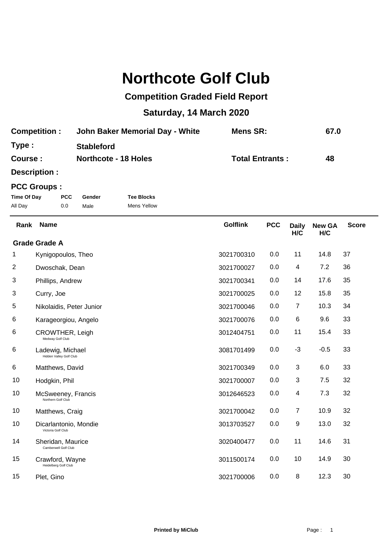## **Northcote Golf Club**

## **Competition Graded Field Report**

## **Saturday, 14 March 2020**

| <b>Competition:</b> | John Baker Memorial Day - White | Mens SR:               | 67.0 |
|---------------------|---------------------------------|------------------------|------|
| Type:               | <b>Stableford</b>               |                        |      |
| Course:             | <b>Northcote - 18 Holes</b>     | <b>Total Entrants:</b> | 48   |

**Description :**

## **PCC Groups :**

| Time Of Day | PCC. | Gender | <b>Tee Blocks</b> |
|-------------|------|--------|-------------------|
| All Day     | 0.0  | Male   | Mens Yellow       |

| Rank | <b>Name</b>                                 | <b>Golflink</b> | <b>PCC</b> | <b>Daily</b><br>H/C | <b>New GA</b><br>H/C | <b>Score</b> |
|------|---------------------------------------------|-----------------|------------|---------------------|----------------------|--------------|
|      | <b>Grade Grade A</b>                        |                 |            |                     |                      |              |
| 1    | Kynigopoulos, Theo                          | 3021700310      | 0.0        | 11                  | 14.8                 | 37           |
| 2    | Dwoschak, Dean                              | 3021700027      | 0.0        | 4                   | 7.2                  | 36           |
| 3    | Phillips, Andrew                            | 3021700341      | 0.0        | 14                  | 17.6                 | 35           |
| 3    | Curry, Joe                                  | 3021700025      | 0.0        | 12                  | 15.8                 | 35           |
| 5    | Nikolaidis, Peter Junior                    | 3021700046      | 0.0        | 7                   | 10.3                 | 34           |
| 6    | Karageorgiou, Angelo                        | 3021700076      | 0.0        | 6                   | 9.6                  | 33           |
| 6    | <b>CROWTHER, Leigh</b><br>Medway Golf Club  | 3012404751      | 0.0        | 11                  | 15.4                 | 33           |
| 6    | Ladewig, Michael<br>Hidden Valley Golf Club | 3081701499      | 0.0        | $-3$                | $-0.5$               | 33           |
| 6    | Matthews, David                             | 3021700349      | 0.0        | 3                   | 6.0                  | 33           |
| 10   | Hodgkin, Phil                               | 3021700007      | 0.0        | 3                   | 7.5                  | 32           |
| 10   | McSweeney, Francis<br>Northern Golf Club    | 3012646523      | 0.0        | 4                   | 7.3                  | 32           |
| 10   | Matthews, Craig                             | 3021700042      | 0.0        | $\overline{7}$      | 10.9                 | 32           |
| 10   | Dicarlantonio, Mondie<br>Victoria Golf Club | 3013703527      | 0.0        | 9                   | 13.0                 | 32           |
| 14   | Sheridan, Maurice<br>Camberwell Golf Club   | 3020400477      | 0.0        | 11                  | 14.6                 | 31           |
| 15   | Crawford, Wayne<br>Heidelberg Golf Club     | 3011500174      | 0.0        | 10                  | 14.9                 | 30           |
| 15   | Plet, Gino                                  | 3021700006      | 0.0        | 8                   | 12.3                 | 30           |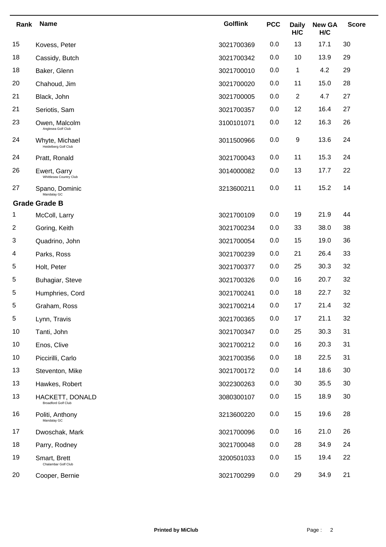| Rank | <b>Name</b>                                   | <b>Golflink</b> | <b>PCC</b> | <b>Daily</b><br>H/C | <b>New GA</b><br>H/C | <b>Score</b> |
|------|-----------------------------------------------|-----------------|------------|---------------------|----------------------|--------------|
| 15   | Kovess, Peter                                 | 3021700369      | 0.0        | 13                  | 17.1                 | 30           |
| 18   | Cassidy, Butch                                | 3021700342      | 0.0        | 10                  | 13.9                 | 29           |
| 18   | Baker, Glenn                                  | 3021700010      | 0.0        | 1                   | 4.2                  | 29           |
| 20   | Chahoud, Jim                                  | 3021700020      | 0.0        | 11                  | 15.0                 | 28           |
| 21   | Black, John                                   | 3021700005      | 0.0        | $\overline{2}$      | 4.7                  | 27           |
| 21   | Seriotis, Sam                                 | 3021700357      | 0.0        | 12                  | 16.4                 | 27           |
| 23   | Owen, Malcolm<br>Anglesea Golf Club           | 3100101071      | 0.0        | 12                  | 16.3                 | 26           |
| 24   | Whyte, Michael<br>Heidelberg Golf Club        | 3011500966      | 0.0        | 9                   | 13.6                 | 24           |
| 24   | Pratt, Ronald                                 | 3021700043      | 0.0        | 11                  | 15.3                 | 24           |
| 26   | Ewert, Garry<br>Whittlesea Country Club       | 3014000082      | 0.0        | 13                  | 17.7                 | 22           |
| 27   | Spano, Dominic<br>Mandalay GC                 | 3213600211      | 0.0        | 11                  | 15.2                 | 14           |
|      | <b>Grade Grade B</b>                          |                 |            |                     |                      |              |
| 1    | McColl, Larry                                 | 3021700109      | 0.0        | 19                  | 21.9                 | 44           |
| 2    | Goring, Keith                                 | 3021700234      | 0.0        | 33                  | 38.0                 | 38           |
| 3    | Quadrino, John                                | 3021700054      | 0.0        | 15                  | 19.0                 | 36           |
| 4    | Parks, Ross                                   | 3021700239      | 0.0        | 21                  | 26.4                 | 33           |
| 5    | Holt, Peter                                   | 3021700377      | 0.0        | 25                  | 30.3                 | 32           |
| 5    | Buhagiar, Steve                               | 3021700326      | 0.0        | 16                  | 20.7                 | 32           |
| 5    | Humphries, Cord                               | 3021700241      | 0.0        | 18                  | 22.7                 | 32           |
| 5    | Graham, Ross                                  | 3021700214      | 0.0        | 17                  | 21.4                 | 32           |
| 5    | Lynn, Travis                                  | 3021700365      | 0.0        | 17                  | 21.1                 | 32           |
| 10   | Tanti, John                                   | 3021700347      | 0.0        | 25                  | 30.3                 | 31           |
| 10   | Enos, Clive                                   | 3021700212      | 0.0        | 16                  | 20.3                 | 31           |
| 10   | Piccirilli, Carlo                             | 3021700356      | 0.0        | 18                  | 22.5                 | 31           |
| 13   | Steventon, Mike                               | 3021700172      | 0.0        | 14                  | 18.6                 | 30           |
| 13   | Hawkes, Robert                                | 3022300263      | 0.0        | 30                  | 35.5                 | 30           |
| 13   | HACKETT, DONALD<br><b>Broadford Golf Club</b> | 3080300107      | 0.0        | 15                  | 18.9                 | 30           |
| 16   | Politi, Anthony<br>Mandalay GC                | 3213600220      | 0.0        | 15                  | 19.6                 | 28           |
| 17   | Dwoschak, Mark                                | 3021700096      | 0.0        | 16                  | 21.0                 | 26           |
| 18   | Parry, Rodney                                 | 3021700048      | 0.0        | 28                  | 34.9                 | 24           |
| 19   | Smart, Brett<br>Chalambar Golf Club           | 3200501033      | 0.0        | 15                  | 19.4                 | 22           |
| 20   | Cooper, Bernie                                | 3021700299      | 0.0        | 29                  | 34.9                 | 21           |